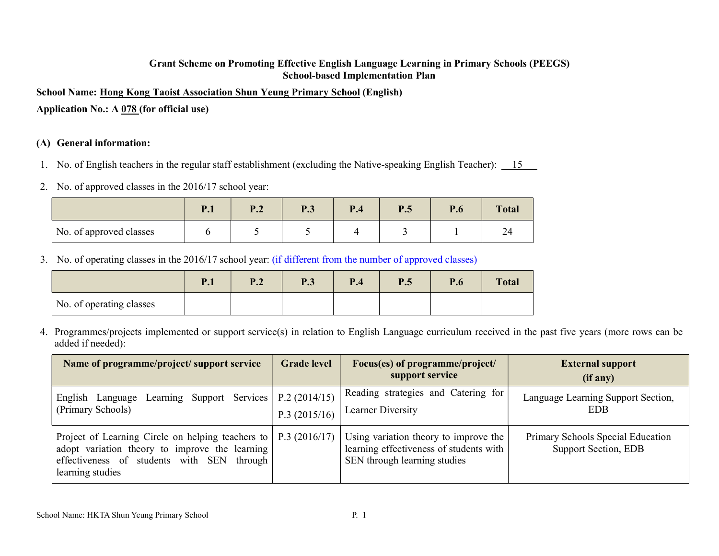#### Grant Scheme on Promoting Effective English Language Learning in Primary Schools (PEEGS) School-based Implementation Plan

School Name: Hong Kong Taoist Association Shun Yeung Primary School (English)

Application No.: A 078 (for official use)

### (A) General information:

- 1. No. of English teachers in the regular staff establishment (excluding the Native-speaking English Teacher): 15
- 2. No. of approved classes in the 2016/17 school year:

|                         | D <sub>1</sub><br>$\mathbf{1} \cdot \mathbf{1}$ | $\mathbf{D}$ 1<br>⊥.∠ | P.3 | P.4 | P.5 | D<br>r.o | <b>Total</b> |
|-------------------------|-------------------------------------------------|-----------------------|-----|-----|-----|----------|--------------|
| No. of approved classes |                                                 |                       |     |     |     |          | 24           |

3. No. of operating classes in the 2016/17 school year: (if different from the number of approved classes)

|                          | $\mathbf{p}$ 1<br>1.L | ▪•∸ | D 2<br>1 .J | P.4 | P.5 | P.6 | <b>Total</b> |
|--------------------------|-----------------------|-----|-------------|-----|-----|-----|--------------|
| No. of operating classes |                       |     |             |     |     |     |              |

4. Programmes/projects implemented or support service(s) in relation to English Language curriculum received in the past five years (more rows can be added if needed):

| Name of programme/project/ support service                                                                                                                                 | <b>Grade level</b>           | Focus(es) of programme/project/<br>support service                                                               | <b>External support</b><br>(if any)                       |
|----------------------------------------------------------------------------------------------------------------------------------------------------------------------------|------------------------------|------------------------------------------------------------------------------------------------------------------|-----------------------------------------------------------|
| English Language Learning Support Services<br>(Primary Schools)                                                                                                            | P.2(2014/15)<br>P.3(2015/16) | Reading strategies and Catering for<br>Learner Diversity                                                         | Language Learning Support Section,<br><b>EDB</b>          |
| Project of Learning Circle on helping teachers to<br>adopt variation theory to improve the learning<br>effectiveness of students with SEN<br>through  <br>learning studies | P.3(2016/17)                 | Using variation theory to improve the<br>learning effectiveness of students with<br>SEN through learning studies | Primary Schools Special Education<br>Support Section, EDB |

School Name: HKTA Shun Yeung Primary School P. 1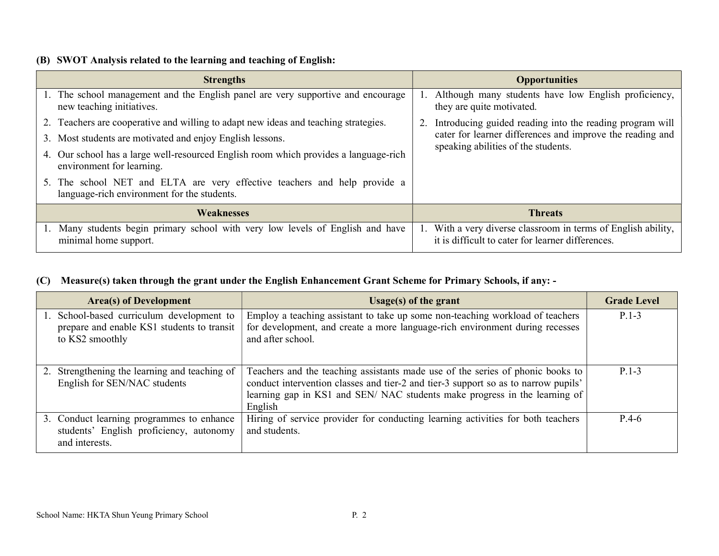### (B) SWOT Analysis related to the learning and teaching of English:

| <b>Strengths</b>                                                                                                         | <b>Opportunities</b>                                                                                            |
|--------------------------------------------------------------------------------------------------------------------------|-----------------------------------------------------------------------------------------------------------------|
| 1. The school management and the English panel are very supportive and encourage<br>new teaching initiatives.            | Although many students have low English proficiency,<br>they are quite motivated.                               |
| 2. Teachers are cooperative and willing to adapt new ideas and teaching strategies.                                      | Introducing guided reading into the reading program will                                                        |
| 3. Most students are motivated and enjoy English lessons.                                                                | cater for learner differences and improve the reading and<br>speaking abilities of the students.                |
| 4. Our school has a large well-resourced English room which provides a language-rich<br>environment for learning.        |                                                                                                                 |
| 5. The school NET and ELTA are very effective teachers and help provide a<br>language-rich environment for the students. |                                                                                                                 |
| <b>Weaknesses</b>                                                                                                        | <b>Threats</b>                                                                                                  |
| Many students begin primary school with very low levels of English and have<br>minimal home support.                     | With a very diverse classroom in terms of English ability,<br>it is difficult to cater for learner differences. |

## (C) Measure(s) taken through the grant under the English Enhancement Grant Scheme for Primary Schools, if any: -

| <b>Area(s) of Development</b>                                                                              | Usage(s) of the grant                                                                                                                                                                                                                                        | <b>Grade Level</b> |
|------------------------------------------------------------------------------------------------------------|--------------------------------------------------------------------------------------------------------------------------------------------------------------------------------------------------------------------------------------------------------------|--------------------|
| 1. School-based curriculum development to<br>prepare and enable KS1 students to transit<br>to KS2 smoothly | Employ a teaching assistant to take up some non-teaching workload of teachers<br>for development, and create a more language-rich environment during recesses<br>and after school.                                                                           | $P.1-3$            |
| 2. Strengthening the learning and teaching of<br>English for SEN/NAC students                              | Teachers and the teaching assistants made use of the series of phonic books to<br>conduct intervention classes and tier-2 and tier-3 support so as to narrow pupils'<br>learning gap in KS1 and SEN/NAC students make progress in the learning of<br>English | $P.1-3$            |
| 3. Conduct learning programmes to enhance<br>students' English proficiency, autonomy<br>and interests.     | Hiring of service provider for conducting learning activities for both teachers<br>and students.                                                                                                                                                             | $P.4-6$            |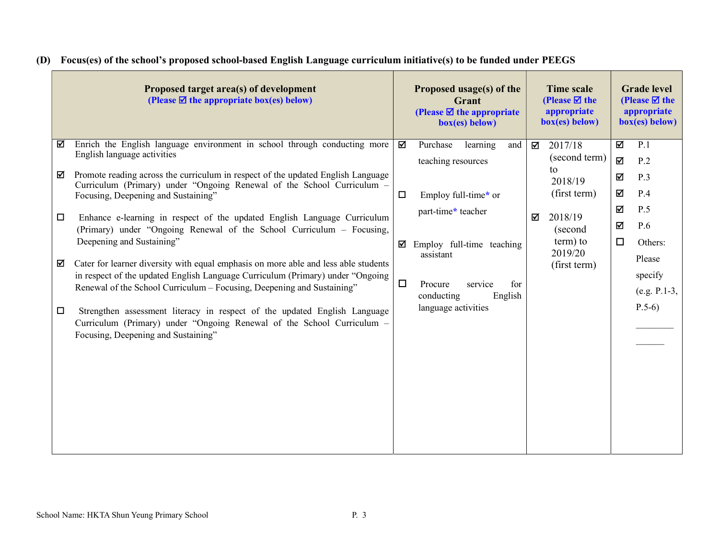| Proposed target area(s) of development<br>(Please $\mathbf{\nabla}$ the appropriate box(es) below)                                                                                                                                                                                                                                                          |        | Proposed usage(s) of the<br>Grant<br>(Please $\blacksquare$ the appropriate<br>$box(es)$ below) |               | <b>Time scale</b><br>(Please $\boxtimes$ the<br>appropriate<br>box(es) below) |        | <b>Grade level</b><br>(Please $\boxtimes$ the<br>appropriate<br>box(es) below) |
|-------------------------------------------------------------------------------------------------------------------------------------------------------------------------------------------------------------------------------------------------------------------------------------------------------------------------------------------------------------|--------|-------------------------------------------------------------------------------------------------|---------------|-------------------------------------------------------------------------------|--------|--------------------------------------------------------------------------------|
| Enrich the English language environment in school through conducting more<br>☑<br>English language activities                                                                                                                                                                                                                                               | ☑      | Purchase<br>learning<br>and<br>teaching resources                                               | ⊠             | 2017/18<br>(second term)                                                      | ☑<br>図 | P.1<br>P.2                                                                     |
| Promote reading across the curriculum in respect of the updated English Language<br>☑<br>Curriculum (Primary) under "Ongoing Renewal of the School Curriculum -<br>Focusing, Deepening and Sustaining"                                                                                                                                                      | $\Box$ | Employ full-time* or                                                                            | to<br>2018/19 | (first term)                                                                  | 冈<br>☑ | P.3<br>P.4                                                                     |
| Enhance e-learning in respect of the updated English Language Curriculum<br>□<br>(Primary) under "Ongoing Renewal of the School Curriculum – Focusing,                                                                                                                                                                                                      |        | part-time* teacher                                                                              | ☑             | 2018/19<br>(second                                                            | ☑<br>N | P.5<br>P.6                                                                     |
| Deepening and Sustaining"<br>Cater for learner diversity with equal emphasis on more able and less able students<br>☑                                                                                                                                                                                                                                       |        | $\blacksquare$ Employ full-time teaching<br>assistant                                           |               | term) to<br>2019/20                                                           | п      | Others:<br>Please                                                              |
| in respect of the updated English Language Curriculum (Primary) under "Ongoing<br>Renewal of the School Curriculum – Focusing, Deepening and Sustaining"<br>Strengthen assessment literacy in respect of the updated English Language<br>□<br>Curriculum (Primary) under "Ongoing Renewal of the School Curriculum –<br>Focusing, Deepening and Sustaining" | $\Box$ | Procure<br>service<br>for<br>conducting<br>English<br>language activities                       |               | (first term)                                                                  |        | specify<br>(e.g. P.1-3,<br>$P.5-6)$                                            |
|                                                                                                                                                                                                                                                                                                                                                             |        |                                                                                                 |               |                                                                               |        |                                                                                |

# (D) Focus(es) of the school's proposed school-based English Language curriculum initiative(s) to be funded under PEEGS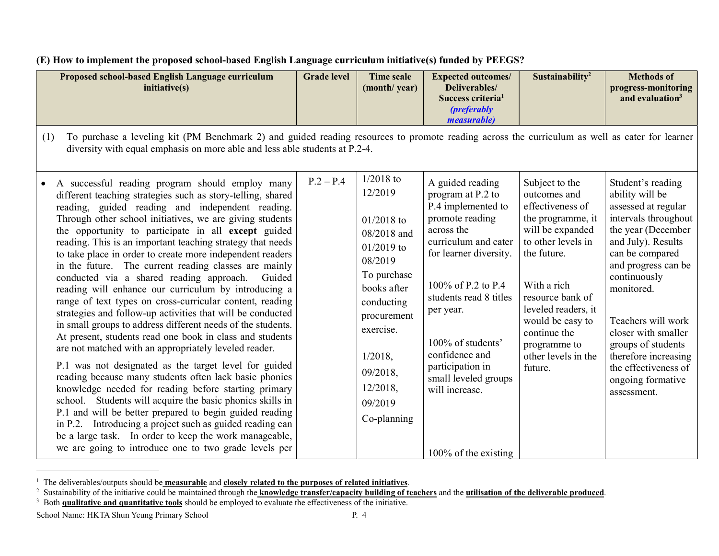| Proposed school-based English Language curriculum<br>initiative(s)                                                                                                                                                                                                                                                                                                                                                                                                                                                                                                                                                                               | <b>Grade level</b> | Time scale<br>(month/year)                                                                                                   | <b>Expected outcomes/</b><br>Deliverables/<br>Success criteria <sup>1</sup><br><i>(preferably)</i><br><i>measurable</i> )                                                                       | Sustainability <sup>2</sup>                                                                                                                                         | <b>Methods of</b><br>progress-monitoring<br>and evaluation <sup>3</sup>                                                                                                                                 |  |  |  |
|--------------------------------------------------------------------------------------------------------------------------------------------------------------------------------------------------------------------------------------------------------------------------------------------------------------------------------------------------------------------------------------------------------------------------------------------------------------------------------------------------------------------------------------------------------------------------------------------------------------------------------------------------|--------------------|------------------------------------------------------------------------------------------------------------------------------|-------------------------------------------------------------------------------------------------------------------------------------------------------------------------------------------------|---------------------------------------------------------------------------------------------------------------------------------------------------------------------|---------------------------------------------------------------------------------------------------------------------------------------------------------------------------------------------------------|--|--|--|
| To purchase a leveling kit (PM Benchmark 2) and guided reading resources to promote reading across the curriculum as well as cater for learner<br>(1)<br>diversity with equal emphasis on more able and less able students at P.2-4.                                                                                                                                                                                                                                                                                                                                                                                                             |                    |                                                                                                                              |                                                                                                                                                                                                 |                                                                                                                                                                     |                                                                                                                                                                                                         |  |  |  |
| A successful reading program should employ many<br>different teaching strategies such as story-telling, shared<br>reading, guided reading and independent reading.<br>Through other school initiatives, we are giving students<br>the opportunity to participate in all except guided<br>reading. This is an important teaching strategy that needs<br>to take place in order to create more independent readers<br>in the future. The current reading classes are mainly<br>conducted via a shared reading approach. Guided<br>reading will enhance our curriculum by introducing a<br>range of text types on cross-curricular content, reading | $P.2 - P.4$        | $1/2018$ to<br>12/2019<br>$01/2018$ to<br>08/2018 and<br>$01/2019$ to<br>08/2019<br>To purchase<br>books after<br>conducting | A guided reading<br>program at P.2 to<br>P.4 implemented to<br>promote reading<br>across the<br>curriculum and cater<br>for learner diversity.<br>100\% of P.2 to P.4<br>students read 8 titles | Subject to the<br>outcomes and<br>effectiveness of<br>the programme, it<br>will be expanded<br>to other levels in<br>the future.<br>With a rich<br>resource bank of | Student's reading<br>ability will be<br>assessed at regular<br>intervals throughout<br>the year (December<br>and July). Results<br>can be compared<br>and progress can be<br>continuously<br>monitored. |  |  |  |

procurement exercise.

per year.

100% of students' confidence and participation in small leveled groups

leveled readers, it would be easy to continue the programme to other levels in the

Teachers will work closer with smaller groups of students therefore increasing the effectiveness of ongoing formative

assessment.

future.

100% of the existing

will increase.

Co-planning

1/2018, 09/2018, 12/2018, 09/2019

(E) How to implement the proposed school-based English Language curriculum initiative(s) funded by PEEGS?

strategies and follow-up activities that will be conducted in small groups to address different needs of the students. At present, students read one book in class and students are not matched with an appropriately leveled reader.

P.1 was not designated as the target level for guided reading because many students often lack basic phonics knowledge needed for reading before starting primary school. Students will acquire the basic phonics skills in P.1 and will be better prepared to begin guided reading in P.2. Introducing a project such as guided reading can be a large task. In order to keep the work manageable, we are going to introduce one to two grade levels per

-

<sup>&</sup>lt;sup>1</sup> The deliverables/outputs should be **measurable** and **closely related to the purposes of related initiatives**.

<sup>&</sup>lt;sup>2</sup> Sustainability of the initiative could be maintained through the **knowledge transfer/capacity building of teachers** and the **utilisation of the deliverable produced**.

<sup>&</sup>lt;sup>3</sup> Both **qualitative and quantitative tools** should be employed to evaluate the effectiveness of the initiative.

School Name: HKTA Shun Yeung Primary School P. 4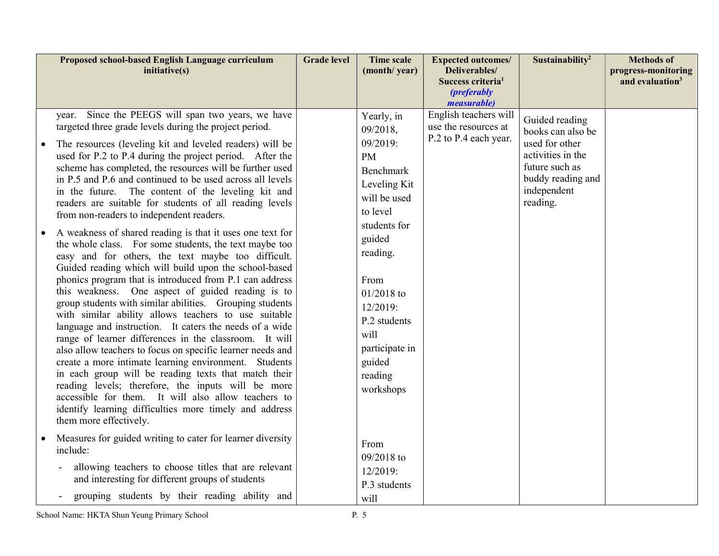| Proposed school-based English Language curriculum<br>initiative(s)                                                                                                                                                                                                                                                                                                                                                                                                                                                                                                                                                                                                                                                                                                                                                                                                                                                                                                                                                                                                                                                                                                                                                                                                                                                                                                                                                                                                                                        | <b>Grade level</b> | <b>Time scale</b><br>(month/year)                                                                                                                                                                                                                              | <b>Expected outcomes/</b><br>Deliverables/<br>Success criteria <sup>1</sup><br><i>(preferably</i><br>measurable) | Sustainability <sup>2</sup>                                                                                                                  | <b>Methods of</b><br>progress-monitoring<br>and evaluation <sup>3</sup> |
|-----------------------------------------------------------------------------------------------------------------------------------------------------------------------------------------------------------------------------------------------------------------------------------------------------------------------------------------------------------------------------------------------------------------------------------------------------------------------------------------------------------------------------------------------------------------------------------------------------------------------------------------------------------------------------------------------------------------------------------------------------------------------------------------------------------------------------------------------------------------------------------------------------------------------------------------------------------------------------------------------------------------------------------------------------------------------------------------------------------------------------------------------------------------------------------------------------------------------------------------------------------------------------------------------------------------------------------------------------------------------------------------------------------------------------------------------------------------------------------------------------------|--------------------|----------------------------------------------------------------------------------------------------------------------------------------------------------------------------------------------------------------------------------------------------------------|------------------------------------------------------------------------------------------------------------------|----------------------------------------------------------------------------------------------------------------------------------------------|-------------------------------------------------------------------------|
| year. Since the PEEGS will span two years, we have<br>targeted three grade levels during the project period.<br>The resources (leveling kit and leveled readers) will be<br>used for P.2 to P.4 during the project period. After the<br>scheme has completed, the resources will be further used<br>in P.5 and P.6 and continued to be used across all levels<br>in the future. The content of the leveling kit and<br>readers are suitable for students of all reading levels<br>from non-readers to independent readers.<br>A weakness of shared reading is that it uses one text for<br>the whole class. For some students, the text maybe too<br>easy and for others, the text maybe too difficult.<br>Guided reading which will build upon the school-based<br>phonics program that is introduced from P.1 can address<br>this weakness. One aspect of guided reading is to<br>group students with similar abilities. Grouping students<br>with similar ability allows teachers to use suitable<br>language and instruction. It caters the needs of a wide<br>range of learner differences in the classroom. It will<br>also allow teachers to focus on specific learner needs and<br>create a more intimate learning environment. Students<br>in each group will be reading texts that match their<br>reading levels; therefore, the inputs will be more<br>accessible for them. It will also allow teachers to<br>identify learning difficulties more timely and address<br>them more effectively. |                    | Yearly, in<br>09/2018,<br>09/2019:<br><b>PM</b><br>Benchmark<br>Leveling Kit<br>will be used<br>to level<br>students for<br>guided<br>reading.<br>From<br>$01/2018$ to<br>12/2019:<br>P.2 students<br>will<br>participate in<br>guided<br>reading<br>workshops | English teachers will<br>use the resources at<br>P.2 to P.4 each year.                                           | Guided reading<br>books can also be<br>used for other<br>activities in the<br>future such as<br>buddy reading and<br>independent<br>reading. |                                                                         |
| Measures for guided writing to cater for learner diversity<br>include:<br>allowing teachers to choose titles that are relevant<br>and interesting for different groups of students<br>grouping students by their reading ability and                                                                                                                                                                                                                                                                                                                                                                                                                                                                                                                                                                                                                                                                                                                                                                                                                                                                                                                                                                                                                                                                                                                                                                                                                                                                      |                    | From<br>09/2018 to<br>12/2019:<br>P.3 students<br>will                                                                                                                                                                                                         |                                                                                                                  |                                                                                                                                              |                                                                         |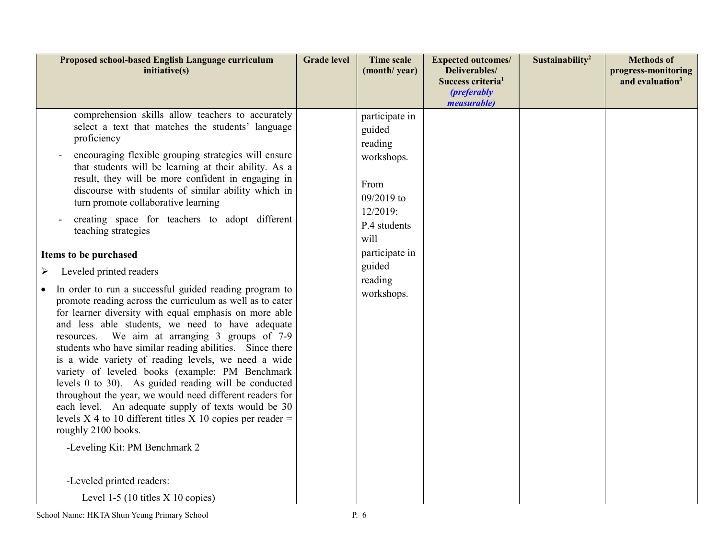| Proposed school-based English Language curriculum<br>initiative(s)                                                                                                                                                                                                                                                                                                                                                                                                                                                                                                                                                                                                                                                                                                                                                                                                                                                                                                                                                                                                                                                                                                                                                                                                                                                                                               | <b>Grade level</b> | <b>Time scale</b><br>(month/year)                                                                                                                                | <b>Expected outcomes/</b><br>Deliverables/<br>Success criteria <sup>1</sup><br><i>(preferably</i><br>measurable) | Sustainability <sup>2</sup> | <b>Methods of</b><br>progress-monitoring<br>and evaluation <sup>3</sup> |
|------------------------------------------------------------------------------------------------------------------------------------------------------------------------------------------------------------------------------------------------------------------------------------------------------------------------------------------------------------------------------------------------------------------------------------------------------------------------------------------------------------------------------------------------------------------------------------------------------------------------------------------------------------------------------------------------------------------------------------------------------------------------------------------------------------------------------------------------------------------------------------------------------------------------------------------------------------------------------------------------------------------------------------------------------------------------------------------------------------------------------------------------------------------------------------------------------------------------------------------------------------------------------------------------------------------------------------------------------------------|--------------------|------------------------------------------------------------------------------------------------------------------------------------------------------------------|------------------------------------------------------------------------------------------------------------------|-----------------------------|-------------------------------------------------------------------------|
| comprehension skills allow teachers to accurately<br>select a text that matches the students' language<br>proficiency<br>encouraging flexible grouping strategies will ensure<br>that students will be learning at their ability. As a<br>result, they will be more confident in engaging in<br>discourse with students of similar ability which in<br>turn promote collaborative learning<br>creating space for teachers to adopt different<br>teaching strategies<br>Items to be purchased<br>Leveled printed readers<br>➤<br>In order to run a successful guided reading program to<br>promote reading across the curriculum as well as to cater<br>for learner diversity with equal emphasis on more able<br>and less able students, we need to have adequate<br>resources. We aim at arranging 3 groups of 7-9<br>students who have similar reading abilities. Since there<br>is a wide variety of reading levels, we need a wide<br>variety of leveled books (example: PM Benchmark<br>levels 0 to 30). As guided reading will be conducted<br>throughout the year, we would need different readers for<br>each level. An adequate supply of texts would be 30<br>levels X 4 to 10 different titles X 10 copies per reader $=$<br>roughly 2100 books.<br>-Leveling Kit: PM Benchmark 2<br>-Leveled printed readers:<br>Level 1-5 (10 titles $X$ 10 copies) |                    | participate in<br>guided<br>reading<br>workshops.<br>From<br>09/2019 to<br>12/2019:<br>P.4 students<br>will<br>participate in<br>guided<br>reading<br>workshops. |                                                                                                                  |                             |                                                                         |

School Name: HKTA Shun Yeung Primary School P. 6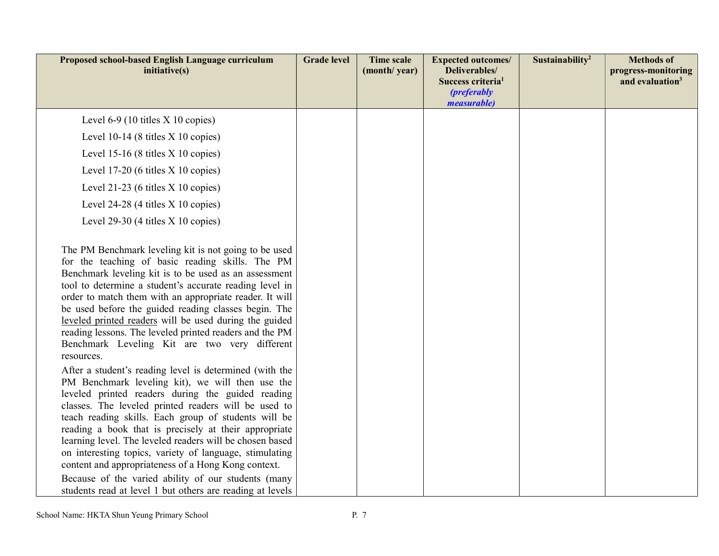| Proposed school-based English Language curriculum<br>initiative(s)                                                                                                                                                                                                                                                                                                                                                                                                                                                                                                             | <b>Grade level</b> | <b>Time scale</b><br>(month/year) | <b>Expected outcomes/</b><br>Deliverables/<br>Success criteria <sup>1</sup><br><i>(preferably</i><br><i>measurable</i> ) | Sustainability <sup>2</sup> | <b>Methods of</b><br>progress-monitoring<br>and evaluation <sup>3</sup> |
|--------------------------------------------------------------------------------------------------------------------------------------------------------------------------------------------------------------------------------------------------------------------------------------------------------------------------------------------------------------------------------------------------------------------------------------------------------------------------------------------------------------------------------------------------------------------------------|--------------------|-----------------------------------|--------------------------------------------------------------------------------------------------------------------------|-----------------------------|-------------------------------------------------------------------------|
| Level $6-9$ (10 titles $X$ 10 copies)                                                                                                                                                                                                                                                                                                                                                                                                                                                                                                                                          |                    |                                   |                                                                                                                          |                             |                                                                         |
| Level $10-14$ (8 titles X 10 copies)                                                                                                                                                                                                                                                                                                                                                                                                                                                                                                                                           |                    |                                   |                                                                                                                          |                             |                                                                         |
| Level 15-16 (8 titles $X$ 10 copies)                                                                                                                                                                                                                                                                                                                                                                                                                                                                                                                                           |                    |                                   |                                                                                                                          |                             |                                                                         |
| Level $17-20$ (6 titles $X$ 10 copies)                                                                                                                                                                                                                                                                                                                                                                                                                                                                                                                                         |                    |                                   |                                                                                                                          |                             |                                                                         |
| Level 21-23 (6 titles $X$ 10 copies)                                                                                                                                                                                                                                                                                                                                                                                                                                                                                                                                           |                    |                                   |                                                                                                                          |                             |                                                                         |
| Level $24-28$ (4 titles X 10 copies)                                                                                                                                                                                                                                                                                                                                                                                                                                                                                                                                           |                    |                                   |                                                                                                                          |                             |                                                                         |
| Level $29-30$ (4 titles $X$ 10 copies)                                                                                                                                                                                                                                                                                                                                                                                                                                                                                                                                         |                    |                                   |                                                                                                                          |                             |                                                                         |
| The PM Benchmark leveling kit is not going to be used<br>for the teaching of basic reading skills. The PM<br>Benchmark leveling kit is to be used as an assessment<br>tool to determine a student's accurate reading level in<br>order to match them with an appropriate reader. It will<br>be used before the guided reading classes begin. The<br>leveled printed readers will be used during the guided<br>reading lessons. The leveled printed readers and the PM<br>Benchmark Leveling Kit are two very different<br>resources.                                           |                    |                                   |                                                                                                                          |                             |                                                                         |
| After a student's reading level is determined (with the<br>PM Benchmark leveling kit), we will then use the<br>leveled printed readers during the guided reading<br>classes. The leveled printed readers will be used to<br>teach reading skills. Each group of students will be<br>reading a book that is precisely at their appropriate<br>learning level. The leveled readers will be chosen based<br>on interesting topics, variety of language, stimulating<br>content and appropriateness of a Hong Kong context.<br>Because of the varied ability of our students (many |                    |                                   |                                                                                                                          |                             |                                                                         |
| students read at level 1 but others are reading at levels                                                                                                                                                                                                                                                                                                                                                                                                                                                                                                                      |                    |                                   |                                                                                                                          |                             |                                                                         |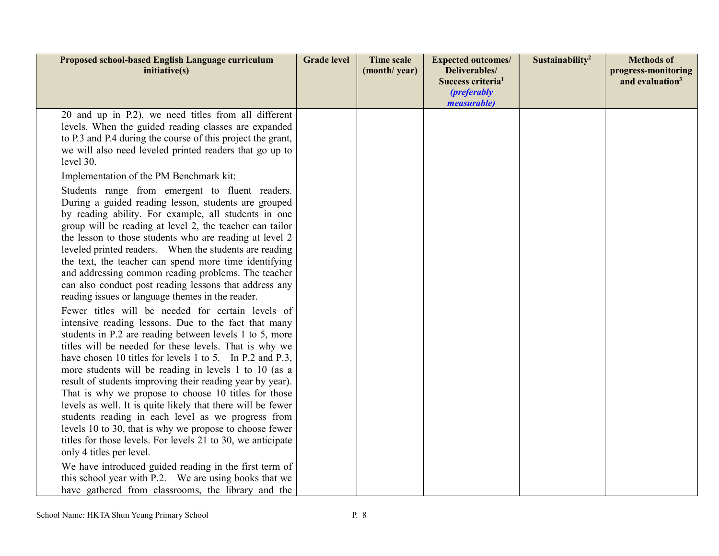| Proposed school-based English Language curriculum<br>initiative(s)                                                                                                                                                                                                                                                                                                                                                                                                                                                                                                                                                                                                                                                                                                                                                                                                      | <b>Grade level</b> | <b>Time scale</b><br>(month/year) | <b>Expected outcomes/</b><br>Deliverables/          | Sustainability <sup>2</sup> | <b>Methods of</b><br>progress-monitoring |
|-------------------------------------------------------------------------------------------------------------------------------------------------------------------------------------------------------------------------------------------------------------------------------------------------------------------------------------------------------------------------------------------------------------------------------------------------------------------------------------------------------------------------------------------------------------------------------------------------------------------------------------------------------------------------------------------------------------------------------------------------------------------------------------------------------------------------------------------------------------------------|--------------------|-----------------------------------|-----------------------------------------------------|-----------------------------|------------------------------------------|
|                                                                                                                                                                                                                                                                                                                                                                                                                                                                                                                                                                                                                                                                                                                                                                                                                                                                         |                    |                                   | Success criteria <sup>1</sup><br><i>(preferably</i> |                             | and evaluation <sup>3</sup>              |
| 20 and up in P.2), we need titles from all different<br>levels. When the guided reading classes are expanded<br>to P.3 and P.4 during the course of this project the grant,<br>we will also need leveled printed readers that go up to<br>level 30.<br>Implementation of the PM Benchmark kit:                                                                                                                                                                                                                                                                                                                                                                                                                                                                                                                                                                          |                    |                                   | measurable)                                         |                             |                                          |
| Students range from emergent to fluent readers.<br>During a guided reading lesson, students are grouped<br>by reading ability. For example, all students in one<br>group will be reading at level 2, the teacher can tailor<br>the lesson to those students who are reading at level 2<br>leveled printed readers. When the students are reading<br>the text, the teacher can spend more time identifying<br>and addressing common reading problems. The teacher<br>can also conduct post reading lessons that address any<br>reading issues or language themes in the reader.<br>Fewer titles will be needed for certain levels of                                                                                                                                                                                                                                     |                    |                                   |                                                     |                             |                                          |
| intensive reading lessons. Due to the fact that many<br>students in P.2 are reading between levels 1 to 5, more<br>titles will be needed for these levels. That is why we<br>have chosen 10 titles for levels 1 to 5. In P.2 and P.3,<br>more students will be reading in levels 1 to 10 (as a<br>result of students improving their reading year by year).<br>That is why we propose to choose 10 titles for those<br>levels as well. It is quite likely that there will be fewer<br>students reading in each level as we progress from<br>levels 10 to 30, that is why we propose to choose fewer<br>titles for those levels. For levels 21 to 30, we anticipate<br>only 4 titles per level.<br>We have introduced guided reading in the first term of<br>this school year with P.2. We are using books that we<br>have gathered from classrooms, the library and the |                    |                                   |                                                     |                             |                                          |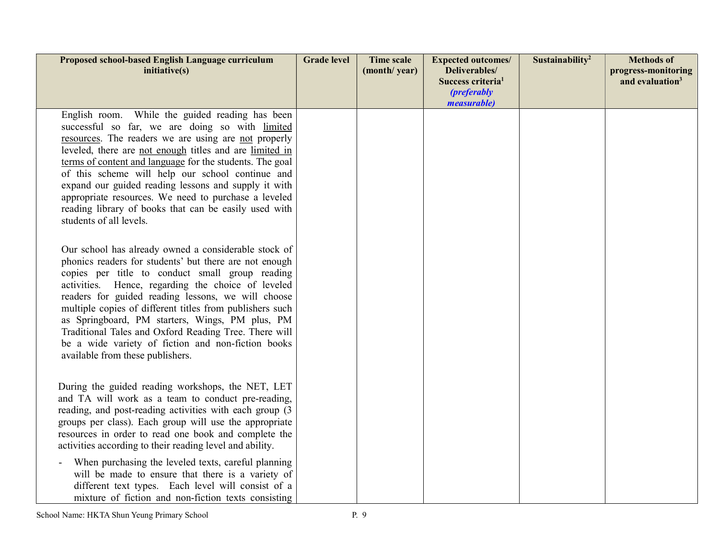| Proposed school-based English Language curriculum<br>inititative(s)                                                                                                                                                                                                                                                                                                                                                                                                                                                                             | <b>Grade level</b> | <b>Time scale</b><br>(month/year) | <b>Expected outcomes/</b><br>Deliverables/<br>Success criteria <sup>1</sup><br><i>(preferably</i><br><i>measurable</i> ) | Sustainability <sup>2</sup> | <b>Methods of</b><br>progress-monitoring<br>and evaluation <sup>3</sup> |
|-------------------------------------------------------------------------------------------------------------------------------------------------------------------------------------------------------------------------------------------------------------------------------------------------------------------------------------------------------------------------------------------------------------------------------------------------------------------------------------------------------------------------------------------------|--------------------|-----------------------------------|--------------------------------------------------------------------------------------------------------------------------|-----------------------------|-------------------------------------------------------------------------|
| English room. While the guided reading has been<br>successful so far, we are doing so with limited<br>resources. The readers we are using are not properly<br>leveled, there are not enough titles and are limited in<br>terms of content and language for the students. The goal<br>of this scheme will help our school continue and<br>expand our guided reading lessons and supply it with<br>appropriate resources. We need to purchase a leveled<br>reading library of books that can be easily used with<br>students of all levels.       |                    |                                   |                                                                                                                          |                             |                                                                         |
| Our school has already owned a considerable stock of<br>phonics readers for students' but there are not enough<br>copies per title to conduct small group reading<br>activities. Hence, regarding the choice of leveled<br>readers for guided reading lessons, we will choose<br>multiple copies of different titles from publishers such<br>as Springboard, PM starters, Wings, PM plus, PM<br>Traditional Tales and Oxford Reading Tree. There will<br>be a wide variety of fiction and non-fiction books<br>available from these publishers. |                    |                                   |                                                                                                                          |                             |                                                                         |
| During the guided reading workshops, the NET, LET<br>and TA will work as a team to conduct pre-reading,<br>reading, and post-reading activities with each group (3)<br>groups per class). Each group will use the appropriate<br>resources in order to read one book and complete the<br>activities according to their reading level and ability.                                                                                                                                                                                               |                    |                                   |                                                                                                                          |                             |                                                                         |
| When purchasing the leveled texts, careful planning<br>will be made to ensure that there is a variety of<br>different text types. Each level will consist of a<br>mixture of fiction and non-fiction texts consisting                                                                                                                                                                                                                                                                                                                           |                    |                                   |                                                                                                                          |                             |                                                                         |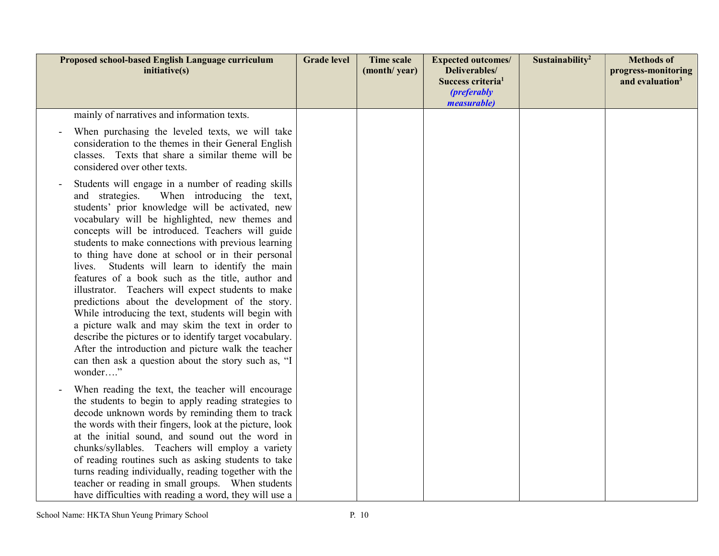| Proposed school-based English Language curriculum<br>initiative(s)                                                                                                                                                                                                                                                                                                                                                                                                                                                                                                                                                                                                                                                                                                                                                                                                                        | <b>Grade level</b> | <b>Time scale</b><br>(month/year) | <b>Expected outcomes/</b><br>Deliverables/<br>Success criteria <sup>1</sup><br><i>(preferably</i><br><i>measurable</i> ) | Sustainability <sup>2</sup> | <b>Methods of</b><br>progress-monitoring<br>and evaluation <sup>3</sup> |
|-------------------------------------------------------------------------------------------------------------------------------------------------------------------------------------------------------------------------------------------------------------------------------------------------------------------------------------------------------------------------------------------------------------------------------------------------------------------------------------------------------------------------------------------------------------------------------------------------------------------------------------------------------------------------------------------------------------------------------------------------------------------------------------------------------------------------------------------------------------------------------------------|--------------------|-----------------------------------|--------------------------------------------------------------------------------------------------------------------------|-----------------------------|-------------------------------------------------------------------------|
| mainly of narratives and information texts.                                                                                                                                                                                                                                                                                                                                                                                                                                                                                                                                                                                                                                                                                                                                                                                                                                               |                    |                                   |                                                                                                                          |                             |                                                                         |
| When purchasing the leveled texts, we will take<br>consideration to the themes in their General English<br>classes. Texts that share a similar theme will be<br>considered over other texts.                                                                                                                                                                                                                                                                                                                                                                                                                                                                                                                                                                                                                                                                                              |                    |                                   |                                                                                                                          |                             |                                                                         |
| Students will engage in a number of reading skills<br>and strategies.<br>When introducing the text,<br>students' prior knowledge will be activated, new<br>vocabulary will be highlighted, new themes and<br>concepts will be introduced. Teachers will guide<br>students to make connections with previous learning<br>to thing have done at school or in their personal<br>lives. Students will learn to identify the main<br>features of a book such as the title, author and<br>illustrator. Teachers will expect students to make<br>predictions about the development of the story.<br>While introducing the text, students will begin with<br>a picture walk and may skim the text in order to<br>describe the pictures or to identify target vocabulary.<br>After the introduction and picture walk the teacher<br>can then ask a question about the story such as, "I<br>wonder" |                    |                                   |                                                                                                                          |                             |                                                                         |
| When reading the text, the teacher will encourage<br>the students to begin to apply reading strategies to<br>decode unknown words by reminding them to track<br>the words with their fingers, look at the picture, look<br>at the initial sound, and sound out the word in<br>chunks/syllables. Teachers will employ a variety<br>of reading routines such as asking students to take<br>turns reading individually, reading together with the<br>teacher or reading in small groups. When students<br>have difficulties with reading a word, they will use a                                                                                                                                                                                                                                                                                                                             |                    |                                   |                                                                                                                          |                             |                                                                         |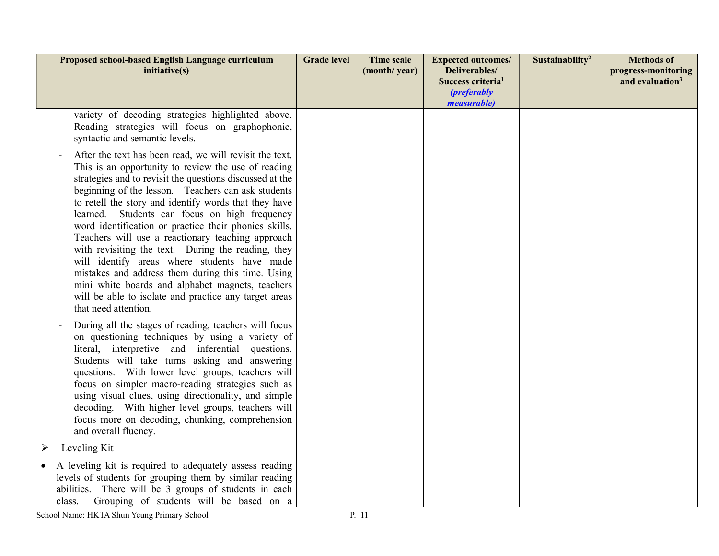|                  | Proposed school-based English Language curriculum<br>initiative(s)                                                                                                                                                                                                                                                                                                                                                                                                                                                                                                                                                                                                                                                                                       | <b>Grade level</b> | <b>Time scale</b><br>(month/year) | <b>Expected outcomes/</b><br>Deliverables/<br>Success criteria <sup>1</sup><br><i>(preferably</i><br><i>measurable</i> ) | Sustainability <sup>2</sup> | <b>Methods of</b><br>progress-monitoring<br>and evaluation <sup>3</sup> |
|------------------|----------------------------------------------------------------------------------------------------------------------------------------------------------------------------------------------------------------------------------------------------------------------------------------------------------------------------------------------------------------------------------------------------------------------------------------------------------------------------------------------------------------------------------------------------------------------------------------------------------------------------------------------------------------------------------------------------------------------------------------------------------|--------------------|-----------------------------------|--------------------------------------------------------------------------------------------------------------------------|-----------------------------|-------------------------------------------------------------------------|
|                  | variety of decoding strategies highlighted above.<br>Reading strategies will focus on graphophonic,<br>syntactic and semantic levels.                                                                                                                                                                                                                                                                                                                                                                                                                                                                                                                                                                                                                    |                    |                                   |                                                                                                                          |                             |                                                                         |
|                  | After the text has been read, we will revisit the text.<br>This is an opportunity to review the use of reading<br>strategies and to revisit the questions discussed at the<br>beginning of the lesson. Teachers can ask students<br>to retell the story and identify words that they have<br>learned. Students can focus on high frequency<br>word identification or practice their phonics skills.<br>Teachers will use a reactionary teaching approach<br>with revisiting the text. During the reading, they<br>will identify areas where students have made<br>mistakes and address them during this time. Using<br>mini white boards and alphabet magnets, teachers<br>will be able to isolate and practice any target areas<br>that need attention. |                    |                                   |                                                                                                                          |                             |                                                                         |
|                  | During all the stages of reading, teachers will focus<br>on questioning techniques by using a variety of<br>literal, interpretive and inferential questions.<br>Students will take turns asking and answering<br>questions. With lower level groups, teachers will<br>focus on simpler macro-reading strategies such as<br>using visual clues, using directionality, and simple<br>decoding. With higher level groups, teachers will<br>focus more on decoding, chunking, comprehension<br>and overall fluency.                                                                                                                                                                                                                                          |                    |                                   |                                                                                                                          |                             |                                                                         |
| $\triangleright$ | Leveling Kit                                                                                                                                                                                                                                                                                                                                                                                                                                                                                                                                                                                                                                                                                                                                             |                    |                                   |                                                                                                                          |                             |                                                                         |
|                  | A leveling kit is required to adequately assess reading<br>levels of students for grouping them by similar reading<br>abilities. There will be 3 groups of students in each<br>class.<br>Grouping of students will be based on a                                                                                                                                                                                                                                                                                                                                                                                                                                                                                                                         |                    |                                   |                                                                                                                          |                             |                                                                         |